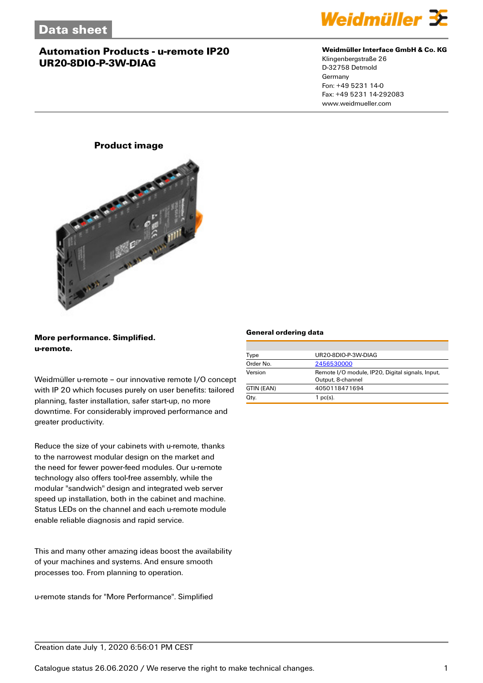

#### **Weidmüller Interface GmbH & Co. KG**

Klingenbergstraße 26 D-32758 Detmold Germany Fon: +49 5231 14-0 Fax: +49 5231 14-292083 www.weidmueller.com

## **Product image**



**More performance. Simplified. u-remote.**

Weidmüller u-remote – our innovative remote I/O concept with IP 20 which focuses purely on user benefits: tailored planning, faster installation, safer start-up, no more downtime. For considerably improved performance and greater productivity.

Reduce the size of your cabinets with u-remote, thanks to the narrowest modular design on the market and the need for fewer power-feed modules. Our u-remote technology also offers tool-free assembly, while the modular "sandwich" design and integrated web server speed up installation, both in the cabinet and machine. Status LEDs on the channel and each u-remote module enable reliable diagnosis and rapid service.

This and many other amazing ideas boost the availability of your machines and systems. And ensure smooth processes too. From planning to operation.

u-remote stands for "More Performance". Simplified

#### **General ordering data**

| Type       | UR20-8DIO-P-3W-DIAG                                                   |  |  |
|------------|-----------------------------------------------------------------------|--|--|
| Order No.  | 2456530000                                                            |  |  |
| Version    | Remote I/O module, IP20, Digital signals, Input,<br>Output, 8-channel |  |  |
| GTIN (EAN) | 4050118471694                                                         |  |  |
| Qty.       | $1$ pc(s).                                                            |  |  |

## Creation date July 1, 2020 6:56:01 PM CEST

Catalogue status 26.06.2020 / We reserve the right to make technical changes. 1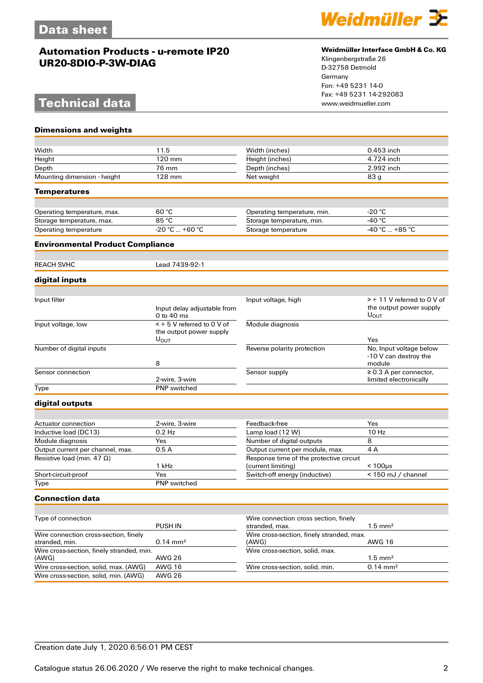# **Technical data**

**Dimensions and weights**



### **Weidmüller Interface GmbH & Co. KG**

Klingenbergstraße 26 D-32758 Detmold Germany Fon: +49 5231 14-0 Fax: +49 5231 14-292083

| Width                                                   | 11.5                                      | Width (inches)                                                | 0.453 inch                                               |
|---------------------------------------------------------|-------------------------------------------|---------------------------------------------------------------|----------------------------------------------------------|
| Height                                                  | 120 mm                                    | Height (inches)                                               | 4.724 inch                                               |
| Depth                                                   | 76 mm                                     | Depth (inches)                                                | $2.992$ inch                                             |
| Mounting dimension - height                             | 128 mm                                    | Net weight                                                    | 83 <sub>g</sub>                                          |
| Temperatures                                            |                                           |                                                               |                                                          |
|                                                         |                                           |                                                               |                                                          |
| Operating temperature, max.                             | 60 °C                                     | Operating temperature, min.                                   | $-20 °C$                                                 |
| Storage temperature, max.                               | 85 °C                                     | Storage temperature, min.                                     | -40 $^{\circ}$ C                                         |
| Operating temperature                                   | $-20 °C  +60 °C$                          | Storage temperature                                           | $-40 °C  +85 °C$                                         |
| <b>Environmental Product Compliance</b>                 |                                           |                                                               |                                                          |
|                                                         |                                           |                                                               |                                                          |
| REACH SVHC                                              | Lead 7439-92-1                            |                                                               |                                                          |
| digital inputs                                          |                                           |                                                               |                                                          |
|                                                         |                                           |                                                               |                                                          |
| Input filter                                            |                                           | Input voltage, high                                           | $>$ + 11 V referred to 0 V of<br>the output power supply |
|                                                         | Input delay adjustable from<br>0 to 40 ms |                                                               | U <sub>OUT</sub>                                         |
| Input voltage, low                                      | < + 5 V referred to 0 V of                | Module diagnosis                                              |                                                          |
|                                                         | the output power supply                   |                                                               |                                                          |
|                                                         | $U_{\text{OUT}}$                          |                                                               | Yes                                                      |
| Number of digital inputs                                |                                           | Reverse polarity protection                                   | No, Input voltage below<br>-10 V can destroy the         |
|                                                         | 8                                         |                                                               | module                                                   |
| Sensor connection                                       |                                           | Sensor supply                                                 | $\geq$ 0.3 A per connector,                              |
|                                                         | 2-wire, 3-wire                            |                                                               | limited electronically                                   |
| Type                                                    | <b>PNP</b> switched                       |                                                               |                                                          |
| digital outputs                                         |                                           |                                                               |                                                          |
|                                                         |                                           |                                                               |                                                          |
| Actuator connection                                     | 2-wire, 3-wire                            | Feedback-free                                                 | Yes                                                      |
| Inductive load (DC13)                                   | $0.2$ Hz                                  | Lamp load (12 W)                                              | 10 Hz                                                    |
| Module diagnosis                                        | Yes                                       | Number of digital outputs                                     | 8                                                        |
| Output current per channel, max.                        | 0.5A                                      | Output current per module, max.                               | 4A                                                       |
| Resistive load (min. 47 $\Omega$ )                      | 1 kHz                                     | Response time of the protective circuit<br>(current limiting) | $< 100 \mu s$                                            |
| Short-circuit-proof                                     | Yes                                       | Switch-off energy (inductive)                                 | < 150 mJ / channel                                       |
| Type                                                    | <b>PNP</b> switched                       |                                                               |                                                          |
| <b>Connection data</b>                                  |                                           |                                                               |                                                          |
|                                                         |                                           |                                                               |                                                          |
| Type of connection                                      | PUSH IN                                   | Wire connection cross section, finely<br>stranded, max.       | $1.5 \text{ mm}^2$                                       |
| Wire connection cross-section, finely<br>stranded, min. | $0.14 \, \text{mm}^2$                     | Wire cross-section, finely stranded, max.<br>(AWG)            | <b>AWG 16</b>                                            |
| Wire cross-section, finely stranded, min.<br>(AWG)      | <b>AWG 26</b>                             | Wire cross-section, solid, max.                               | $1.5 \text{ mm}^2$                                       |
| Wire cross-section, solid, max. (AWG)                   | <b>AWG 16</b>                             | Wire cross-section, solid, min.                               | $0.14 \, \text{mm}^2$                                    |
| Wire cross-section, solid, min. (AWG)                   | <b>AWG 26</b>                             |                                                               |                                                          |
|                                                         |                                           |                                                               |                                                          |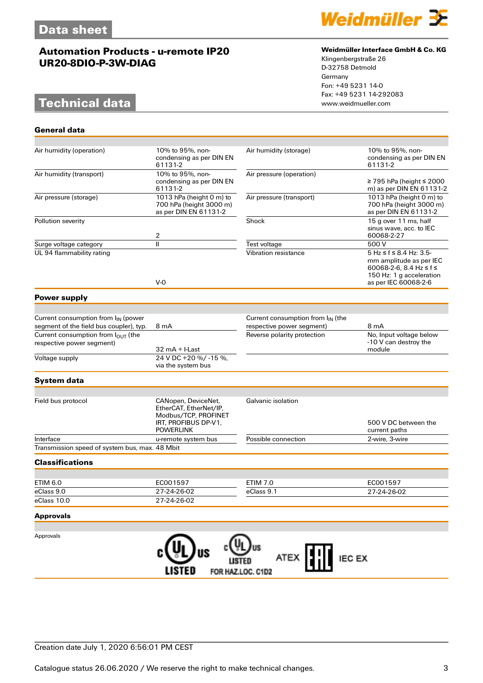# **Technical data**

**General data**



#### **Weidmüller Interface GmbH & Co. KG**

Klingenbergstraße 26 D-32758 Detmold Germany Fon: +49 5231 14-0 Fax: +49 5231 14-292083

| Air humidity (operation)                        | 10% to 95%, non-<br>condensing as per DIN EN<br>61131-2                                                           | Air humidity (storage)                 | 10% to 95%, non-<br>condensing as per DIN EN<br>61131-2                                                                                  |
|-------------------------------------------------|-------------------------------------------------------------------------------------------------------------------|----------------------------------------|------------------------------------------------------------------------------------------------------------------------------------------|
| Air humidity (transport)                        | 10% to 95%, non-<br>condensing as per DIN EN<br>61131-2                                                           | Air pressure (operation)               | ≥ 795 hPa (height ≤ 2000<br>m) as per DIN EN 61131-2                                                                                     |
| Air pressure (storage)                          | 1013 hPa (height 0 m) to<br>700 hPa (height 3000 m)<br>as per DIN EN 61131-2                                      | Air pressure (transport)               | 1013 hPa (height 0 m) to<br>700 hPa (height 3000 m)<br>as per DIN EN 61131-2                                                             |
| Pollution severity                              | 2                                                                                                                 | Shock                                  | 15 g over 11 ms, half<br>sinus wave, acc. to IEC<br>60068-2-27                                                                           |
| Surge voltage category                          | $\mathsf{I}$                                                                                                      | Test voltage                           | 500 V                                                                                                                                    |
| UL 94 flammability rating                       | $V-0$                                                                                                             | Vibration resistance                   | $5 Hz \le f \le 8.4 Hz$ : 3.5-<br>mm amplitude as per IEC<br>60068-2-6, 8.4 Hz ≤ f ≤<br>150 Hz: 1 g acceleration<br>as per IEC 60068-2-6 |
|                                                 |                                                                                                                   |                                        |                                                                                                                                          |
| <b>Power supply</b>                             |                                                                                                                   |                                        |                                                                                                                                          |
|                                                 |                                                                                                                   |                                        |                                                                                                                                          |
| Current consumption from I <sub>IN</sub> (power |                                                                                                                   | Current consumption from $I_{IN}$ (the |                                                                                                                                          |
| segment of the field bus coupler), typ.         | 8 mA                                                                                                              | respective power segment)              | 8 mA                                                                                                                                     |
| Current consumption from l <sub>OUT</sub> (the  |                                                                                                                   | Reverse polarity protection            | No, Input voltage below<br>-10 V can destroy the                                                                                         |
| respective power segment)                       | $32 \text{ mA} + \text{l-Last}$                                                                                   |                                        | module                                                                                                                                   |
| Voltage supply                                  | 24 V DC +20 %/-15 %,<br>via the system bus                                                                        |                                        |                                                                                                                                          |
| <b>System data</b>                              |                                                                                                                   |                                        |                                                                                                                                          |
|                                                 |                                                                                                                   |                                        |                                                                                                                                          |
| Field bus protocol                              | CANopen, DeviceNet,<br>EtherCAT, EtherNet/IP,<br>Modbus/TCP, PROFINET<br>IRT, PROFIBUS DP-V1,<br><b>POWERLINK</b> | Galvanic isolation                     | 500 V DC between the<br>current paths                                                                                                    |
| Interface                                       | u-remote system bus                                                                                               | Possible connection                    | 2-wire, 3-wire                                                                                                                           |
| Transmission speed of system bus, max. 48 Mbit  |                                                                                                                   |                                        |                                                                                                                                          |
| <b>Classifications</b>                          |                                                                                                                   |                                        |                                                                                                                                          |
|                                                 |                                                                                                                   |                                        |                                                                                                                                          |
| ETIM 6.0                                        | EC001597                                                                                                          | <b>ETIM 7.0</b>                        | EC001597                                                                                                                                 |
| eClass 9.0                                      | 27-24-26-02                                                                                                       | eClass 9.1                             | 27-24-26-02                                                                                                                              |
| eClass 10.0                                     | 27-24-26-02                                                                                                       |                                        |                                                                                                                                          |
| <b>Approvals</b>                                |                                                                                                                   |                                        |                                                                                                                                          |
|                                                 |                                                                                                                   |                                        |                                                                                                                                          |
| Approvals                                       |                                                                                                                   | <b>IEC EX</b><br>ATEX                  |                                                                                                                                          |
|                                                 | LISTED                                                                                                            | FOR HAZ.LOC. C1D2                      |                                                                                                                                          |

## Creation date July 1, 2020 6:56:01 PM CEST